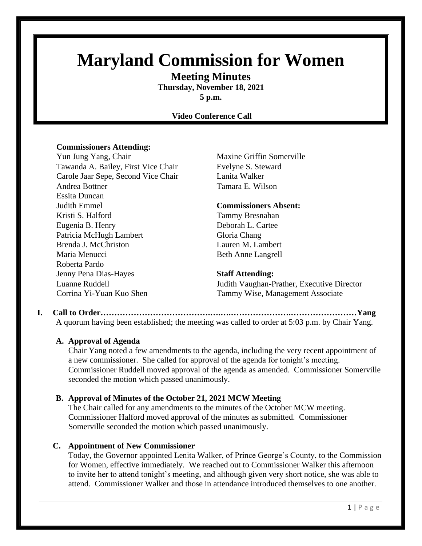# **Maryland Commission for Women**

**Meeting Minutes**

**Thursday, November 18, 2021 5 p.m.**

#### **Video Conference Call**

#### **Commissioners Attending:**

Tawanda A. Bailey, First Vice Chair Evelyne S. Steward Carole Jaar Sepe, Second Vice Chair Lanita Walker Andrea Bottner Tamara E. Wilson Essita Duncan Judith Emmel **Commissioners Absent:** Kristi S. Halford Tammy Bresnahan Eugenia B. Henry Deborah L. Cartee Patricia McHugh Lambert Gloria Chang Brenda J. McChriston Lauren M. Lambert Maria Menucci Beth Anne Langrell Roberta Pardo Jenny Pena Dias-Hayes **Staff Attending:**

Yun Jung Yang, Chair Maxine Griffin Somerville

Luanne Ruddell Judith Vaughan-Prather, Executive Director Corrina Yi-Yuan Kuo Shen Tammy Wise, Management Associate

#### **I. Call to Order………………………………….….….………………….……………………Yang** A quorum having been established; the meeting was called to order at 5:03 p.m. by Chair Yang.

#### **A. Approval of Agenda**

Chair Yang noted a few amendments to the agenda, including the very recent appointment of a new commissioner. She called for approval of the agenda for tonight's meeting. Commissioner Ruddell moved approval of the agenda as amended. Commissioner Somerville seconded the motion which passed unanimously.

#### **B. Approval of Minutes of the October 21, 2021 MCW Meeting**

The Chair called for any amendments to the minutes of the October MCW meeting. Commissioner Halford moved approval of the minutes as submitted. Commissioner Somerville seconded the motion which passed unanimously.

#### **C. Appointment of New Commissioner**

Today, the Governor appointed Lenita Walker, of Prince George's County, to the Commission for Women, effective immediately. We reached out to Commissioner Walker this afternoon to invite her to attend tonight's meeting, and although given very short notice, she was able to attend. Commissioner Walker and those in attendance introduced themselves to one another.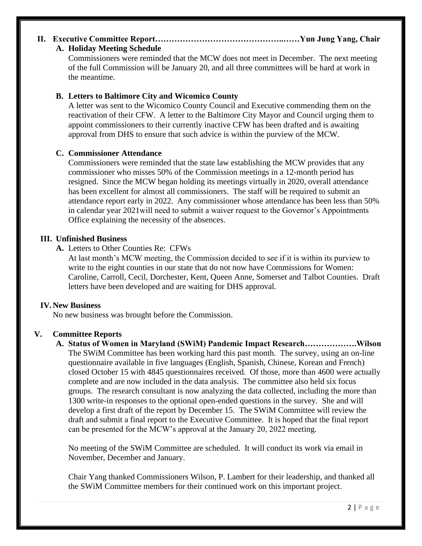### **II. Executive Committee Report………………………………………..……Yun Jung Yang, Chair**

#### **A. Holiday Meeting Schedule**

Commissioners were reminded that the MCW does not meet in December. The next meeting of the full Commission will be January 20, and all three committees will be hard at work in the meantime.

#### **B. Letters to Baltimore City and Wicomico County**

A letter was sent to the Wicomico County Council and Executive commending them on the reactivation of their CFW. A letter to the Baltimore City Mayor and Council urging them to appoint commissioners to their currently inactive CFW has been drafted and is awaiting approval from DHS to ensure that such advice is within the purview of the MCW.

### **C. Commissioner Attendance**

Commissioners were reminded that the state law establishing the MCW provides that any commissioner who misses 50% of the Commission meetings in a 12-month period has resigned. Since the MCW began holding its meetings virtually in 2020, overall attendance has been excellent for almost all commissioners. The staff will be required to submit an attendance report early in 2022. Any commissioner whose attendance has been less than 50% in calendar year 2021will need to submit a waiver request to the Governor's Appointments Office explaining the necessity of the absences.

#### **III. Unfinished Business**

**A.** Letters to Other Counties Re: CFWs

At last month's MCW meeting, the Commission decided to see if it is within its purview to write to the eight counties in our state that do not now have Commissions for Women: Caroline, Carroll, Cecil, Dorchester, Kent, Queen Anne, Somerset and Talbot Counties. Draft letters have been developed and are waiting for DHS approval.

#### **IV.New Business**

No new business was brought before the Commission.

### **V. Committee Reports**

**A. Status of Women in Maryland (SWiM) Pandemic Impact Research……………….Wilson** The SWiM Committee has been working hard this past month. The survey, using an on-line questionnaire available in five languages (English, Spanish, Chinese, Korean and French) closed October 15 with 4845 questionnaires received. Of those, more than 4600 were actually complete and are now included in the data analysis. The committee also held six focus groups. The research consultant is now analyzing the data collected, including the more than 1300 write-in responses to the optional open-ended questions in the survey. She and will develop a first draft of the report by December 15. The SWiM Committee will review the draft and submit a final report to the Executive Committee. It is hoped that the final report can be presented for the MCW's approval at the January 20, 2022 meeting.

No meeting of the SWiM Committee are scheduled. It will conduct its work via email in November, December and January.

Chair Yang thanked Commissioners Wilson, P. Lambert for their leadership, and thanked all the SWiM Committee members for their continued work on this important project.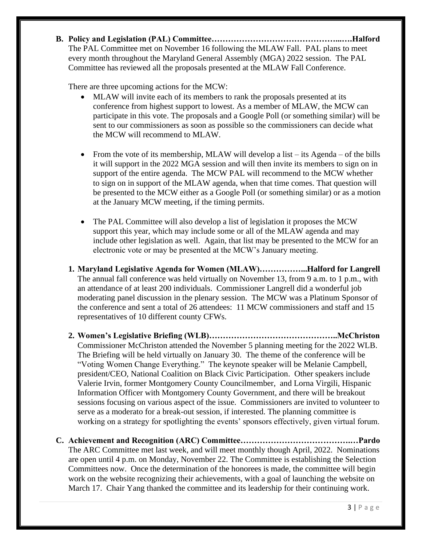**B. Policy and Legislation (PAL) Committee………………………………………...….Halford** The PAL Committee met on November 16 following the MLAW Fall. PAL plans to meet every month throughout the Maryland General Assembly (MGA) 2022 session. The PAL Committee has reviewed all the proposals presented at the MLAW Fall Conference.

There are three upcoming actions for the MCW:

- MLAW will invite each of its members to rank the proposals presented at its conference from highest support to lowest. As a member of MLAW, the MCW can participate in this vote. The proposals and a Google Poll (or something similar) will be sent to our commissioners as soon as possible so the commissioners can decide what the MCW will recommend to MLAW.
- From the vote of its membership, MLAW will develop a list  $-$  its Agenda  $-$  of the bills it will support in the 2022 MGA session and will then invite its members to sign on in support of the entire agenda. The MCW PAL will recommend to the MCW whether to sign on in support of the MLAW agenda, when that time comes. That question will be presented to the MCW either as a Google Poll (or something similar) or as a motion at the January MCW meeting, if the timing permits.
- The PAL Committee will also develop a list of legislation it proposes the MCW support this year, which may include some or all of the MLAW agenda and may include other legislation as well. Again, that list may be presented to the MCW for an electronic vote or may be presented at the MCW's January meeting.
- **1. Maryland Legislative Agenda for Women (MLAW)……………...Halford for Langrell** The annual fall conference was held virtually on November 13, from 9 a.m. to 1 p.m., with an attendance of at least 200 individuals. Commissioner Langrell did a wonderful job moderating panel discussion in the plenary session. The MCW was a Platinum Sponsor of the conference and sent a total of 26 attendees: 11 MCW commissioners and staff and 15 representatives of 10 different county CFWs.
- **2. Women's Legislative Briefing (WLB)………………………………………..McChriston** Commissioner McChriston attended the November 5 planning meeting for the 2022 WLB. The Briefing will be held virtually on January 30. The theme of the conference will be "Voting Women Change Everything." The keynote speaker will be Melanie Campbell, president/CEO, [National Coalition on Black Civic Participation.](https://www.ncbcp.org/) Other speakers include Valerie Irvin, former Montgomery County Councilmember, and Lorna Virgili, Hispanic Information Officer with Montgomery County Government, and there will be breakout sessions focusing on various aspect of the issue. Commissioners are invited to volunteer to serve as a moderato for a break-out session, if interested. The planning committee is working on a strategy for spotlighting the events' sponsors effectively, given virtual forum.
- **C. Achievement and Recognition (ARC) Committee………………………………….…Pardo** The ARC Committee met last week, and will meet monthly though April, 2022. Nominations are open until 4 p.m. on Monday, November 22. The Committee is establishing the Selection Committees now. Once the determination of the honorees is made, the committee will begin work on the website recognizing their achievements, with a goal of launching the website on March 17. Chair Yang thanked the committee and its leadership for their continuing work.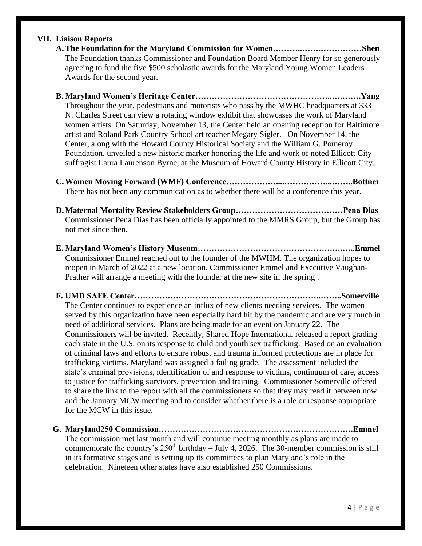### **VII. Liaison Reports**

- **A.The Foundation for the Maryland Commission for Women………..…….……………Shen** The Foundation thanks Commissioner and Foundation Board Member Henry for so generously agreeing to fund the five \$500 scholastic awards for the Maryland Young Women Leaders Awards for the second year.
- **B. Maryland Women's Heritage Center…………………………………………..….…….Yang** Throughout the year, pedestrians and motorists who pass by the MWHC headquarters at 333 N. Charles Street can view a rotating window exhibit that showcases the work of Maryland women artists. On Saturday, November 13, the Center held an opening reception for Baltimore artist and Roland Park Country School art teacher Megary Sigler. On November 14, the Center, along with the Howard County Historical Society and the William G. Pomeroy Foundation, unveiled a new historic marker honoring the life and work of noted Ellicott City suffragist Laura Laurenson Byrne, at the Museum of Howard County History in Ellicott City.
- **C.Women Moving Forward (WMF) Conference………………....……………...……..Bottner** There has not been any communication as to whether there will be a conference this year.
- **D.Maternal Mortality Review Stakeholders Group…………………………………Pena Dias** Commissioner Pena Dias has been officially appointed to the MMRS Group, but the Group has not met since then.
- **E. Maryland Women's History Museum………………………………………….….…..Emmel** Commissioner Emmel reached out to the founder of the MWHM. The organization hopes to reopen in March of 2022 at a new location. Commissioner Emmel and Executive Vaughan-Prather will arrange a meeting with the founder at the new site in the spring .
- **F. UMD SAFE Center…………………………………………………………..……..Somerville** The Center continues to experience an influx of new clients needing services. The women served by this organization have been especially hard hit by the pandemic and are very much in need of additional services. Plans are being made for an event on January 22. The Commissioners will be invited. Recently, Shared Hope International released a report grading each state in the U.S. on its response to child and youth sex trafficking. Based on an evaluation of criminal laws and efforts to ensure robust and trauma informed protections are in place for trafficking victims. Maryland was assigned a failing grade. The assessment included the state's criminal provisions, identification of and response to victims, continuum of care, access to justice for trafficking survivors, prevention and training. Commissioner Somerville offered to share the link to the report with all the commissioners so that they may read it between now and the January MCW meeting and to consider whether there is a role or response appropriate for the MCW in this issue.
- **G. Maryland250 Commission…………………………….……………………………….Emmel** The commission met last month and will continue meeting monthly as plans are made to commemorate the country's  $250<sup>th</sup>$  birthday – July 4, 2026. The 30-member commission is still in its formative stages and is setting up its committees to plan Maryland's role in the celebration. Nineteen other states have also established 250 Commissions.